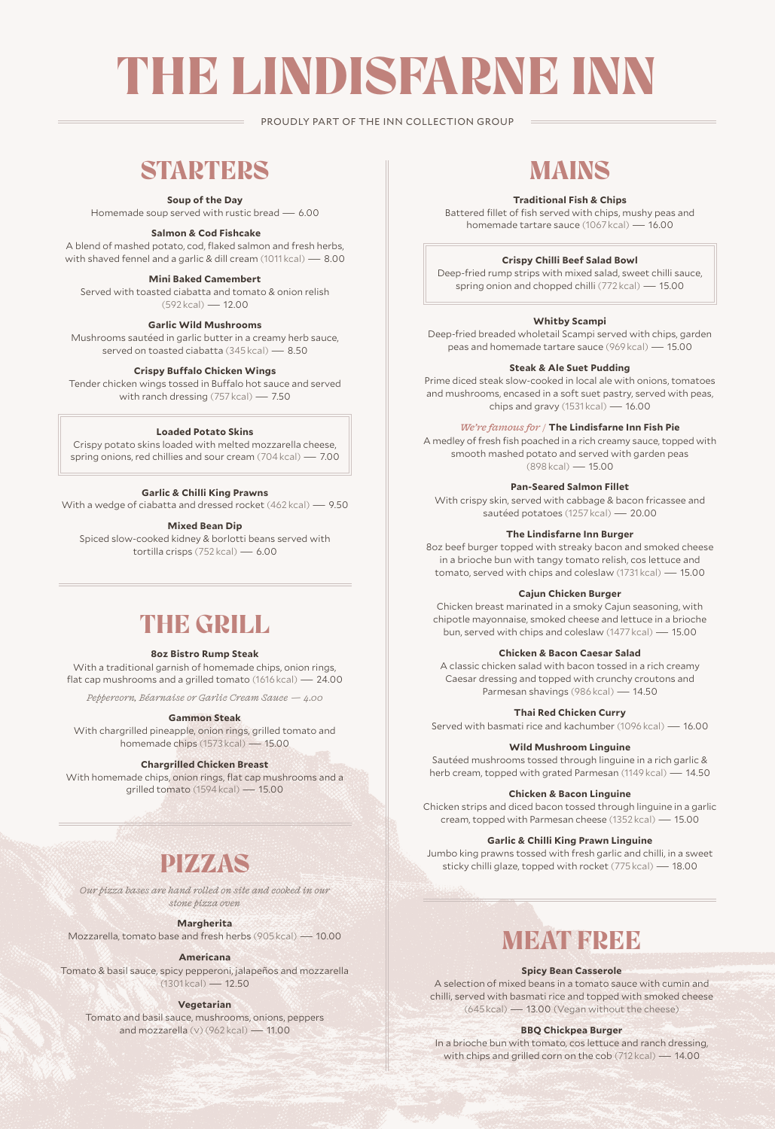# THE LINDISFARNE INN

PROUDLY PART OF THE INN COLLECTION GROUP

# **STARTERS**

**Soup of the Day**

Homemade soup served with rustic bread — 6.00

#### **Salmon & Cod Fishcake**

A blend of mashed potato, cod, flaked salmon and fresh herbs, with shaved fennel and a garlic & dill cream (1011 kcal) — 8.00

#### **Mini Baked Camembert**

Served with toasted ciabatta and tomato & onion relish (592 kcal) — 12.00

**Garlic Wild Mushrooms**

Mushrooms sautéed in garlic butter in a creamy herb sauce, served on toasted ciabatta (345 kcal) — 8.50

#### **Crispy Buffalo Chicken Wings**

Tender chicken wings tossed in Buffalo hot sauce and served with ranch dressing (757 kcal) — 7.50

#### **Loaded Potato Skins**

Crispy potato skins loaded with melted mozzarella cheese, spring onions, red chillies and sour cream (704 kcal) — 7.00

#### **Garlic & Chilli King Prawns**

With a wedge of ciabatta and dressed rocket (462 kcal) — 9.50

**Mixed Bean Dip**

Spiced slow-cooked kidney & borlotti beans served with tortilla crisps (752 kcal) — 6.00

### THE GRILL

#### **8oz Bistro Rump Steak**

With a traditional garnish of homemade chips, onion rings, flat cap mushrooms and a grilled tomato (1616 kcal) — 24.00

*Peppercorn, Béarnaise or Garlic Cream Sauce — 4.00*

#### **Gammon Steak**

With chargrilled pineapple, onion rings, grilled tomato and homemade chips (1573 kcal) — 15.00

#### **Chargrilled Chicken Breast**

With homemade chips, onion rings, flat cap mushrooms and a grilled tomato (1594 kcal) — 15.00

# PIZZAS

*Our pizza bases are hand rolled on site and cooked in our stone pizza oven* 

#### **Margherita**

Mozzarella, tomato base and fresh herbs (905 kcal) — 10.00

#### **Americana**

Tomato & basil sauce, spicy pepperoni, jalapeños and mozzarella  $(1301kcal) - 12.50$ 

#### **Vegetarian**

Tomato and basil sauce, mushrooms, onions, peppers and mozzarella (v) (962 kcal) — 11.00

# MAINS

#### **Traditional Fish & Chips**

Battered fillet of fish served with chips, mushy peas and homemade tartare sauce (1067 kcal) — 16.00

#### **Crispy Chilli Beef Salad Bowl**

Deep-fried rump strips with mixed salad, sweet chilli sauce, spring onion and chopped chilli (772 kcal) — 15.00

#### **Whitby Scampi**

Deep-fried breaded wholetail Scampi served with chips, garden peas and homemade tartare sauce (969 kcal) — 15.00

#### **Steak & Ale Suet Pudding**

Prime diced steak slow-cooked in local ale with onions, tomatoes and mushrooms, encased in a soft suet pastry, served with peas, chips and gravy (1531 kcal) — 16.00

#### *We're famous for /* **The Lindisfarne Inn Fish Pie**

A medley of fresh fish poached in a rich creamy sauce, topped with smooth mashed potato and served with garden peas (898 kcal) — 15.00

#### **Pan-Seared Salmon Fillet**

With crispy skin, served with cabbage & bacon fricassee and sautéed potatoes (1257 kcal) — 20.00

#### **The Lindisfarne Inn Burger**

8oz beef burger topped with streaky bacon and smoked cheese in a brioche bun with tangy tomato relish, cos lettuce and tomato, served with chips and coleslaw (1731 kcal) — 15.00

#### **Cajun Chicken Burger**

Chicken breast marinated in a smoky Cajun seasoning, with chipotle mayonnaise, smoked cheese and lettuce in a brioche bun, served with chips and coleslaw (1477 kcal) — 15.00

#### **Chicken & Bacon Caesar Salad**

A classic chicken salad with bacon tossed in a rich creamy Caesar dressing and topped with crunchy croutons and Parmesan shavings (986 kcal) — 14.50

#### **Thai Red Chicken Curry**

Served with basmati rice and kachumber (1096 kcal) — 16.00

#### **Wild Mushroom Linguine**

Sautéed mushrooms tossed through linguine in a rich garlic & herb cream, topped with grated Parmesan (1149 kcal) — 14.50

#### **Chicken & Bacon Linguine**

Chicken strips and diced bacon tossed through linguine in a garlic cream, topped with Parmesan cheese (1352 kcal) — 15.00

#### **Garlic & Chilli King Prawn Linguine**

Jumbo king prawns tossed with fresh garlic and chilli, in a sweet sticky chilli glaze, topped with rocket (775 kcal) — 18.00

# **MEAT FREE**

#### **Spicy Bean Casserole**

A selection of mixed beans in a tomato sauce with cumin and chilli, served with basmati rice and topped with smoked cheese (645 kcal) — 13.00 (Vegan without the cheese)

#### **BBQ Chickpea Burger**

In a brioche bun with tomato, cos lettuce and ranch dressing, with chips and grilled corn on the cob (712 kcal) — 14.00